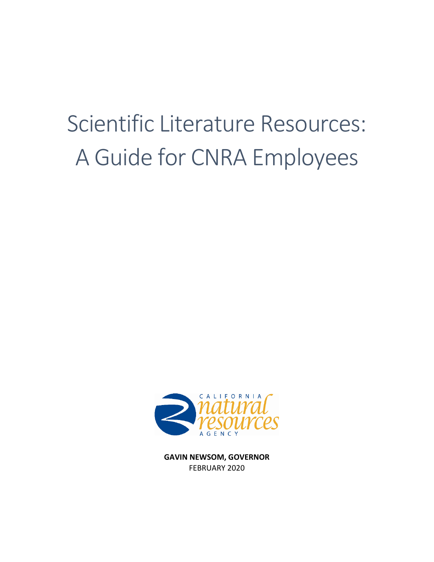# Scientific Literature Resources: A Guide for CNRA Employees



**GAVIN NEWSOM, GOVERNOR** FEBRUARY 2020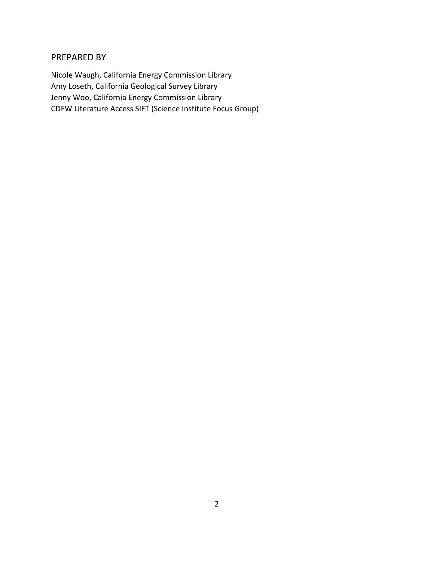#### PREPARED BY

Nicole Waugh, California Energy Commission Library Amy Loseth, California Geological Survey Library Jenny Woo, California Energy Commission Library CDFW Literature Access SIFT (Science Institute Focus Group)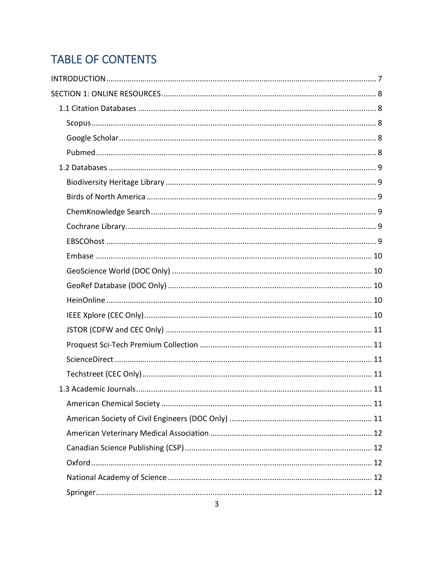# **TABLE OF CONTENTS**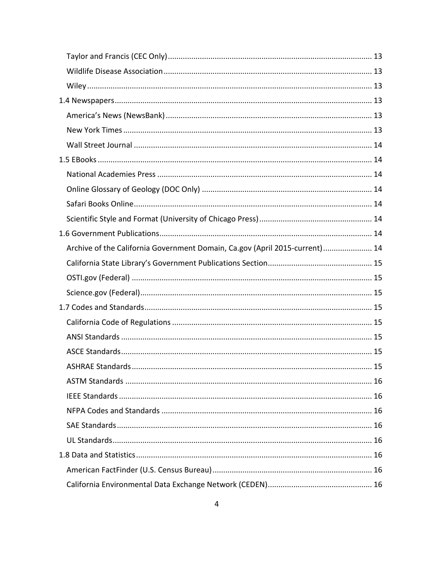| Archive of the California Government Domain, Ca.gov (April 2015-current) 14 |    |
|-----------------------------------------------------------------------------|----|
|                                                                             |    |
|                                                                             |    |
|                                                                             |    |
|                                                                             |    |
|                                                                             |    |
|                                                                             |    |
|                                                                             |    |
|                                                                             | 15 |
|                                                                             |    |
|                                                                             |    |
|                                                                             |    |
|                                                                             |    |
|                                                                             |    |
|                                                                             |    |
|                                                                             |    |
|                                                                             |    |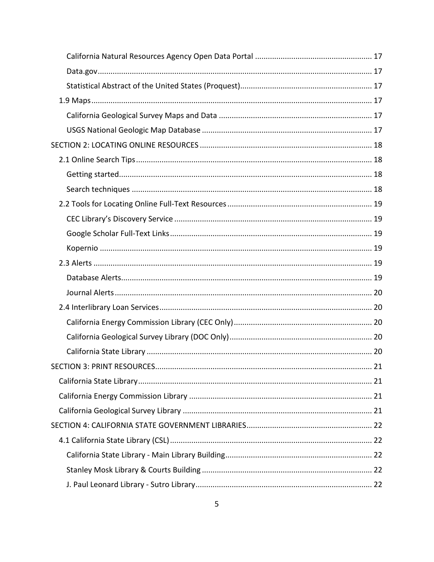|  | 21 |
|--|----|
|  |    |
|  |    |
|  |    |
|  |    |
|  |    |
|  |    |
|  |    |
|  |    |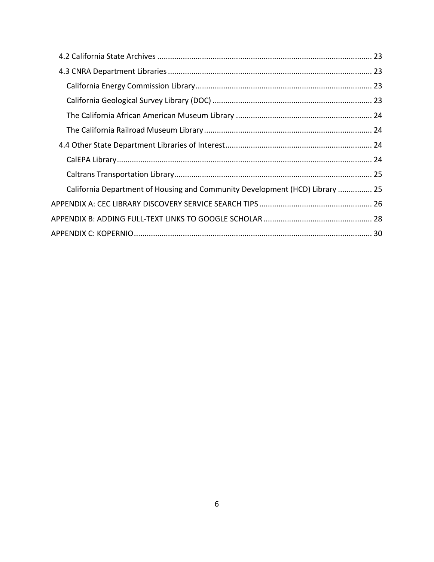| California Department of Housing and Community Development (HCD) Library  25 |  |
|------------------------------------------------------------------------------|--|
|                                                                              |  |
|                                                                              |  |
|                                                                              |  |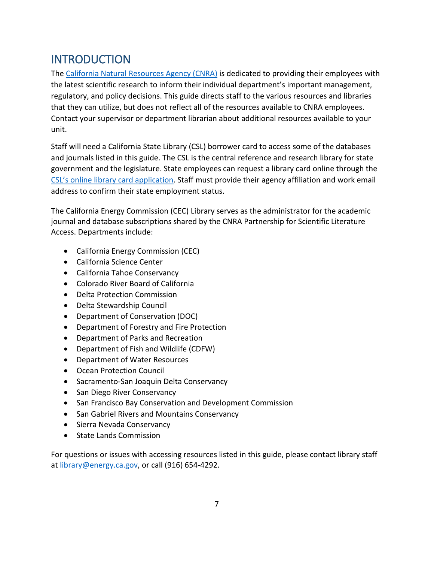# <span id="page-6-0"></span>**INTRODUCTION**

The [California Natural Resources Agency \(CNRA\)](http://www.resources.ca.gov/) is dedicated to providing their employees with the latest scientific research to inform their individual department's important management, regulatory, and policy decisions. This guide directs staff to the various resources and libraries that they can utilize, but does not reflect all of the resources available to CNRA employees. Contact your supervisor or department librarian about additional resources available to your unit.

Staff will need a California State Library (CSL) borrower card to access some of the databases and journals listed in this guide. The CSL is the central reference and research library for state government and the legislature. State employees can request a library card online through the [CSL's online library card application.](https://library.ca.gov/apply/) Staff must provide their agency affiliation and work email address to confirm their state employment status.

The California Energy Commission (CEC) Library serves as the administrator for the academic journal and database subscriptions shared by the CNRA Partnership for Scientific Literature Access. Departments include:

- California Energy Commission (CEC)
- California Science Center
- California Tahoe Conservancy
- Colorado River Board of California
- Delta Protection Commission
- Delta Stewardship Council
- Department of Conservation (DOC)
- Department of Forestry and Fire Protection
- Department of Parks and Recreation
- Department of Fish and Wildlife (CDFW)
- Department of Water Resources
- Ocean Protection Council
- Sacramento-San Joaquin Delta Conservancy
- San Diego River Conservancy
- San Francisco Bay Conservation and Development Commission
- San Gabriel Rivers and Mountains Conservancy
- Sierra Nevada Conservancy
- State Lands Commission

For questions or issues with accessing resources listed in this guide, please contact library staff at [library@energy.ca.gov,](mailto:library@energy.ca.gov) or call (916) 654-4292.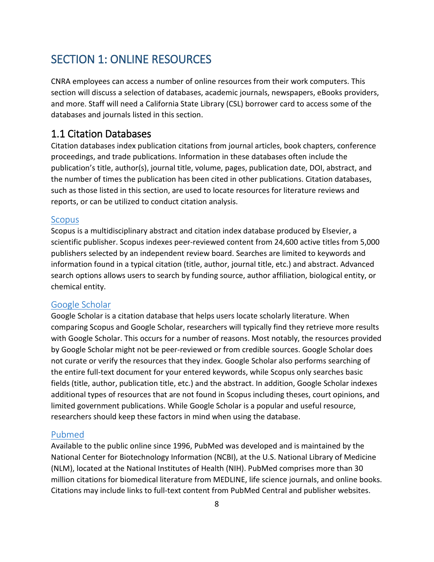# <span id="page-7-0"></span>SECTION 1: ONLINE RESOURCES

CNRA employees can access a number of online resources from their work computers. This section will discuss a selection of databases, academic journals, newspapers, eBooks providers, and more. Staff will need a California State Library (CSL) borrower card to access some of the databases and journals listed in this section.

# <span id="page-7-1"></span>1.1 Citation Databases

Citation databases index publication citations from journal articles, book chapters, conference proceedings, and trade publications. Information in these databases often include the publication's title, author(s), journal title, volume, pages, publication date, DOI, abstract, and the number of times the publication has been cited in other publications. Citation databases, such as those listed in this section, are used to locate resources for literature reviews and reports, or can be utilized to conduct citation analysis.

#### <span id="page-7-2"></span>[Scopus](http://proxy.library.ca.gov/login?url=http://www.scopus.com)

Scopus is a multidisciplinary abstract and citation index database produced by Elsevier, a scientific publisher. Scopus indexes peer-reviewed content from 24,600 active titles from 5,000 publishers selected by an independent review board. Searches are limited to keywords and information found in a typical citation (title, author, journal title, etc.) and abstract. Advanced search options allows users to search by funding source, author affiliation, biological entity, or chemical entity.

#### <span id="page-7-3"></span>[Google Scholar](https://scholar.google.com/)

Google Scholar is a citation database that helps users locate scholarly literature. When comparing Scopus and Google Scholar, researchers will typically find they retrieve more results with Google Scholar. This occurs for a number of reasons. Most notably, the resources provided by Google Scholar might not be peer-reviewed or from credible sources. Google Scholar does not curate or verify the resources that they index. Google Scholar also performs searching of the entire full-text document for your entered keywords, while Scopus only searches basic fields (title, author, publication title, etc.) and the abstract. In addition, Google Scholar indexes additional types of resources that are not found in Scopus including theses, court opinions, and limited government publications. While Google Scholar is a popular and useful resource, researchers should keep these factors in mind when using the database.

#### <span id="page-7-4"></span>[Pubmed](https://www.ncbi.nlm.nih.gov/pubmed)

Available to the public online since 1996, PubMed was developed and is maintained by the National Center for Biotechnology Information (NCBI), at the U.S. National Library of Medicine (NLM), located at the National Institutes of Health (NIH). PubMed comprises more than 30 million citations for biomedical literature from MEDLINE, life science journals, and online books. Citations may include links to full-text content from PubMed Central and publisher websites.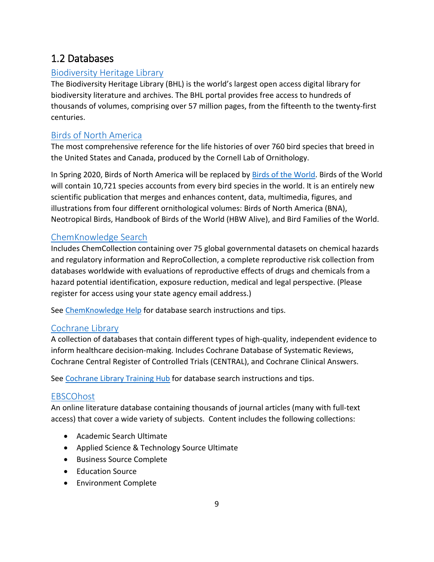# <span id="page-8-0"></span>1.2 Databases

# <span id="page-8-1"></span>[Biodiversity Heritage Library](https://www.biodiversitylibrary.org/)

The Biodiversity Heritage Library (BHL) is the world's largest open access digital library for biodiversity literature and archives. The BHL portal provides free access to hundreds of thousands of volumes, comprising over 57 million pages, from the fifteenth to the twenty-first centuries.

# <span id="page-8-2"></span>[Birds of North America](https://birdsna.org/Species-Account/bna/home)

The most comprehensive reference for the life histories of over 760 bird species that breed in the United States and Canada, produced by the Cornell Lab of Ornithology.

In Spring 2020, Birds of North America will be replaced b[y Birds of the World.](https://birdsoftheworld.org/) Birds of the World will contain 10,721 species accounts from every bird species in the world. It is an entirely new scientific publication that merges and enhances content, data, multimedia, figures, and illustrations from four different ornithological volumes: Birds of North America (BNA), Neotropical Birds, Handbook of Birds of the World (HBW Alive), and Bird Families of the World.

# <span id="page-8-3"></span>[ChemKnowledge Search](http://proxy.library.ca.gov/login?url=http://www.rightanswerknowledge.com)

Includes ChemCollection containing over 75 global governmental datasets on chemical hazards and regulatory information and ReproCollection, a complete reproductive risk collection from databases worldwide with evaluations of reproductive effects of drugs and chemicals from a hazard potential identification, exposure reduction, medical and legal perspective. (Please register for access using your state agency email address.)

See [ChemKnowledge Help](http://rightanswerknowledge.com/n3SrchHelp.asp) for database search instructions and tips.

# <span id="page-8-4"></span>[Cochrane Library](http://proxy.library.ca.gov/login?url=https://www.cochranelibrary.com)

A collection of databases that contain different types of high-quality, independent evidence to inform healthcare decision-making. Includes Cochrane Database of Systematic Reviews, Cochrane Central Register of Controlled Trials (CENTRAL), and Cochrane Clinical Answers.

See [Cochrane Library Training Hub](https://www.wiley.com/network/cochranelibrarytraining) for database search instructions and tips.

# <span id="page-8-5"></span>**[EBSCOhost](http://proxy.library.ca.gov/login?url=http://search.ebscohost.com)**

An online literature database containing thousands of journal articles (many with full-text access) that cover a wide variety of subjects. Content includes the following collections:

- Academic Search Ultimate
- Applied Science & Technology Source Ultimate
- Business Source Complete
- Education Source
- Environment Complete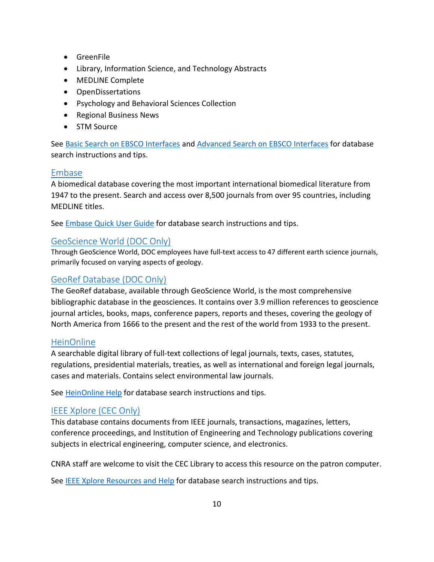- GreenFile
- Library, Information Science, and Technology Abstracts
- MEDLINE Complete
- OpenDissertations
- Psychology and Behavioral Sciences Collection
- Regional Business News
- STM Source

See [Basic Search on EBSCO Interfaces](https://connect.ebsco.com/s/article/Basic-Search-on-EBSCO-Interfaces?language=en_US) and [Advanced Search on EBSCO Interfaces](https://connect.ebsco.com/s/article/Advanced-Search-on-EBSCO-Interfaces-Single-Find-Field?language=en_US) for database search instructions and tips.

# <span id="page-9-0"></span>[Embase](http://proxy.library.ca.gov/login?url=https://www.embase.com)

A biomedical database covering the most important international biomedical literature from 1947 to the present. Search and access over 8,500 journals from over 95 countries, including MEDLINE titles.

See **Embase Quick User Guide** for database search instructions and tips.

# <span id="page-9-1"></span>[GeoScience World \(DOC Only\)](https://pubs.geoscienceworld.org/)

Through GeoScience World, DOC employees have full-text access to 47 different earth science journals, primarily focused on varying aspects of geology.

# <span id="page-9-2"></span>[GeoRef Database \(DOC Only\)](https://pubs.geoscienceworld.org/georef)

The GeoRef database, available through GeoScience World, is the most comprehensive bibliographic database in the geosciences. It contains over 3.9 million references to geoscience journal articles, books, maps, conference papers, reports and theses, covering the geology of North America from 1666 to the present and the rest of the world from 1933 to the present.

#### <span id="page-9-3"></span>[HeinOnline](http://proxy.library.ca.gov/login?url=https://heinonline.org/HOL/Welcome)

A searchable digital library of full-text collections of legal journals, texts, cases, statutes, regulations, presidential materials, treaties, as well as international and foreign legal journals, cases and materials. Contains select environmental law journals.

See [HeinOnline Help](https://help.heinonline.org/) for database search instructions and tips.

# <span id="page-9-4"></span>[IEEE Xplore \(CEC Only\)](http://www.ieee.org/ieeexplore)

This database contains documents from IEEE journals, transactions, magazines, letters, conference proceedings, and Institution of Engineering and Technology publications covering subjects in electrical engineering, computer science, and electronics.

CNRA staff are welcome to visit the CEC Library to access this resource on the patron computer.

See [IEEE Xplore Resources and](https://ieeexplore.ieee.org/Xplorehelp/#/) Help for database search instructions and tips.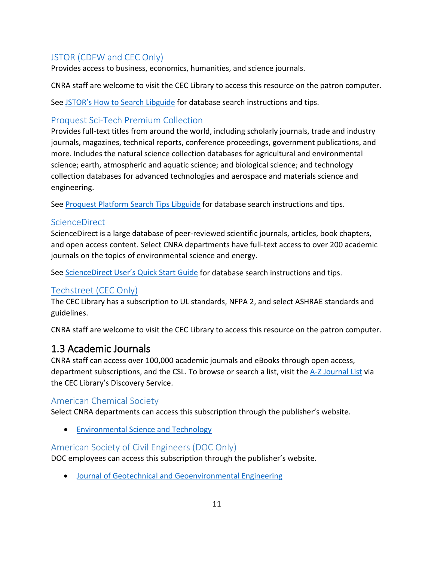# <span id="page-10-0"></span>[JSTOR \(CDFW and CEC Only\)](http://www.jstor.org/action/showBasicSearch)

Provides access to business, economics, humanities, and science journals.

CNRA staff are welcome to visit the CEC Library to access this resource on the patron computer.

See [JSTOR's How to Search Libguide](https://guides.jstor.org/howto-search) for database search instructions and tips.

# <span id="page-10-1"></span>[Proquest Sci-Tech Premium Collection](https://search-proquest-com.proxy.library.ca.gov/scitechpremium/science/fromDatabasesLayer?accountid=26958)

Provides full-text titles from around the world, including scholarly journals, trade and industry journals, magazines, technical reports, conference proceedings, government publications, and more. Includes the natural science collection databases for agricultural and environmental science; earth, atmospheric and aquatic science; and biological science; and technology collection databases for advanced technologies and aerospace and materials science and engineering.

See [Proquest Platform Search Tips](https://proquest.libguides.com/proquestplatform/tips) Libguide for database search instructions and tips.

# <span id="page-10-2"></span>**[ScienceDirect](https://www.sciencedirect.com/)**

ScienceDirect is a large database of peer-reviewed scientific journals, articles, book chapters, and open access content. Select CNRA departments have full-text access to over 200 academic journals on the topics of environmental science and energy.

See [ScienceDirect User's Quick Start Guide](https://supportcontent.elsevier.com/RightNow%20Next%20Gen/ScienceDirect/ScienceDirect_User_Guide.pdf) for database search instructions and tips.

# <span id="page-10-3"></span>[Techstreet \(CEC Only\)](https://subscriptions.techstreet.com/subscriptions/index)

The CEC Library has a subscription to UL standards, NFPA 2, and select ASHRAE standards and guidelines.

CNRA staff are welcome to visit the CEC Library to access this resource on the patron computer.

# <span id="page-10-4"></span>1.3 Academic Journals

CNRA staff can access over 100,000 academic journals and eBooks through open access, department subscriptions, and the CSL. To browse or search a list, visit the [A-Z Journal List](https://californiaenergycommissionlibrary.on.worldcat.org/atoztitles/browse) via the CEC Library's Discovery Service.

# <span id="page-10-5"></span>American Chemical Society

Select CNRA departments can access this subscription through the publisher's website.

• [Environmental Science and Technology](https://pubs.acs.org/journal/esthag)

# <span id="page-10-6"></span>American Society of Civil Engineers (DOC Only)

DOC employees can access this subscription through the publisher's website.

• [Journal of Geotechnical and Geoenvironmental Engineering](https://ascelibrary.org/journal/jggefk)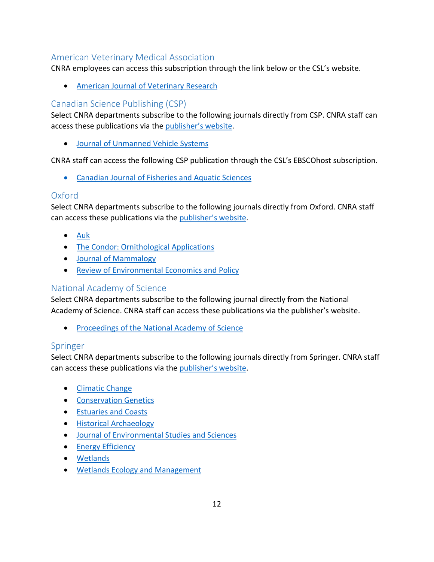# <span id="page-11-0"></span>American Veterinary Medical Association

CNRA employees can access this subscription through the link below or the CSL's website.

• [American Journal of Veterinary Research](http://proxy.library.ca.gov/login?url=https://avmajournals.avma.org/loi/ajvr)

# <span id="page-11-1"></span>Canadian Science Publishing (CSP)

Select CNRA departments subscribe to the following journals directly from CSP. CNRA staff can access these publications via the [publisher's website.](https://www.nrcresearchpress.com/)

• [Journal of Unmanned Vehicle Systems](https://www.nrcresearchpress.com/loi/juvs)

CNRA staff can access the following CSP publication through the CSL's EBSCOhost subscription.

• [Canadian Journal of Fisheries and Aquatic Sciences](https://californiaenergycommissionlibrary.on.worldcat.org/oclc/904486240)

# <span id="page-11-2"></span>Oxford

Select CNRA departments subscribe to the following journals directly from Oxford. CNRA staff can access these publications via the [publisher's website.](https://academic.oup.com/journals)

- [Auk](https://academic.oup.com/auk)
- [The Condor: Ornithological Applications](https://academic.oup.com/condor)
- [Journal of Mammalogy](https://academic.oup.com/jmammal)
- [Review of Environmental Economics and Policy](https://academic.oup.com/reep)

# <span id="page-11-3"></span>National Academy of Science

Select CNRA departments subscribe to the following journal directly from the National Academy of Science. CNRA staff can access these publications via the publisher's website.

• [Proceedings of the National Academy of Science](https://www.pnas.org/)

# <span id="page-11-4"></span>Springer

Select CNRA departments subscribe to the following journals directly from Springer. CNRA staff can access these publications via the [publisher's website.](https://link.springer.com/)

- [Climatic Change](https://link.springer.com/journal/10584)
- [Conservation Genetics](https://link.springer.com/journal/10592)
- [Estuaries and Coasts](https://link.springer.com/journal/12237)
- [Historical Archaeology](https://link.springer.com/journal/41636)
- [Journal of Environmental Studies and Sciences](https://link.springer.com/journal/13412)
- [Energy Efficiency](https://link.springer.com/journal/12053)
- [Wetlands](https://link.springer.com/journal/13157)
- [Wetlands Ecology and Management](https://link.springer.com/journal/11273)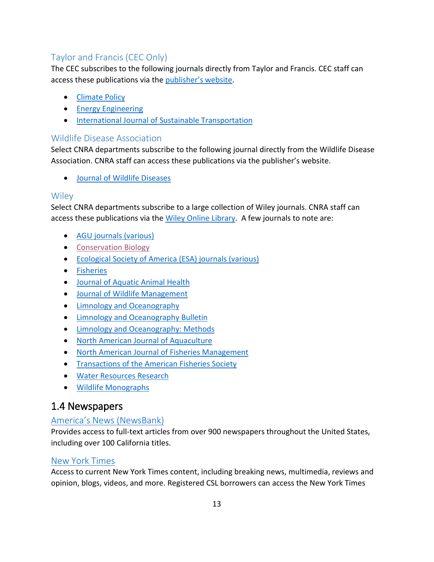# <span id="page-12-0"></span>Taylor and Francis (CEC Only)

The CEC subscribes to the following journals directly from Taylor and Francis. CEC staff can access these publications via the [publisher's website.](https://www.tandfonline.com/)

- [Climate Policy](https://www.tandfonline.com/toc/tcpo20/current)
- **[Energy Engineering](https://www.tandfonline.com/toc/uene20/current)**
- [International Journal of Sustainable Transportation](https://www.tandfonline.com/toc/ujst20/current)

#### <span id="page-12-1"></span>Wildlife Disease Association

Select CNRA departments subscribe to the following journal directly from the Wildlife Disease Association. CNRA staff can access these publications via the publisher's website.

• [Journal of Wildlife Diseases](https://www.jwildlifedis.org/)

# <span id="page-12-2"></span>**Wiley**

Select CNRA departments subscribe to a large collection of Wiley journals. CNRA staff can access these publications via the Wiley [Online Library.](https://onlinelibrary.wiley.com/) A few journals to note are:

- [AGU journals \(various\)](https://agupubs.onlinelibrary.wiley.com/)
- [Conservation Biology](https://conbio.onlinelibrary.wiley.com/journal/15231739)
- [Ecological Society of America \(ESA\) journals \(various\)](https://esajournals.onlinelibrary.wiley.com/)
- [Fisheries](https://afspubs.onlinelibrary.wiley.com/journal/15488446)
- [Journal of Aquatic Animal Health](https://afspubs.onlinelibrary.wiley.com/journal/15488667)
- [Journal of Wildlife Management](https://wildlife.onlinelibrary.wiley.com/journal/19372817)
- [Limnology and](https://aslopubs.onlinelibrary.wiley.com/journal/19395590) Oceanography
- [Limnology and Oceanography Bulletin](https://aslopubs.onlinelibrary.wiley.com/journal/15396088)
- [Limnology and Oceanography: Methods](https://aslopubs.onlinelibrary.wiley.com/journal/15415856)
- [North American Journal of Aquaculture](https://afspubs.onlinelibrary.wiley.com/journal/15488454)
- [North American Journal of Fisheries Management](https://afspubs.onlinelibrary.wiley.com/journal/15488675)
- [Transactions of the American Fisheries Society](https://afspubs.onlinelibrary.wiley.com/journal/15488659)
- [Water Resources Research](https://agupubs.onlinelibrary.wiley.com/journal/19447973)
- [Wildlife Monographs](https://wildlife.onlinelibrary.wiley.com/journal/19385455)

# <span id="page-12-3"></span>1.4 Newspapers

# <span id="page-12-4"></span>[America's News \(NewsBank\)](http://proxy.library.ca.gov/login?url=http://infoweb.newsbank.com)

Provides access to full-text articles from over 900 newspapers throughout the United States, including over 100 California titles.

# <span id="page-12-5"></span>[New York Times](http://proxy.library.ca.gov/login?url=https://myaccount.nytimes.com/corpgrouppass/redir)

Access to current New York Times content, including breaking news, multimedia, reviews and opinion, blogs, videos, and more. Registered CSL borrowers can access the New York Times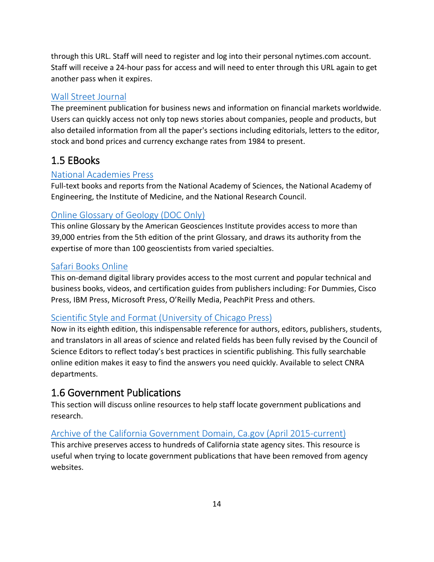through this URL. Staff will need to register and log into their personal nytimes.com account. Staff will receive a 24-hour pass for access and will need to enter through this URL again to get another pass when it expires.

# <span id="page-13-0"></span>[Wall Street Journal](http://proxy.library.ca.gov/login?url=http://search.proquest.com/databases)

The preeminent publication for business news and information on financial markets worldwide. Users can quickly access not only top news stories about companies, people and products, but also detailed information from all the paper's sections including editorials, letters to the editor, stock and bond prices and currency exchange rates from 1984 to present.

# <span id="page-13-1"></span>1.5 EBooks

# <span id="page-13-2"></span>[National Academies Press](http://www.nap.edu/topics.php?browse=1)

Full-text books and reports from the National Academy of Sciences, the National Academy of Engineering, the Institute of Medicine, and the National Research Council.

# <span id="page-13-3"></span>[Online Glossary of Geology \(DOC Only\)](https://glossary.americangeosciences.org/)

This online Glossary by the American Geosciences Institute provides access to more than 39,000 entries from the 5th edition of the print Glossary, and draws its authority from the expertise of more than 100 geoscientists from varied specialties.

# <span id="page-13-4"></span>[Safari Books Online](http://proxy.library.ca.gov/login?url=http://proquest.safaribooksonline.com)

This on-demand digital library provides access to the most current and popular technical and business books, videos, and certification guides from publishers including: For Dummies, Cisco Press, IBM Press, Microsoft Press, O'Reilly Media, PeachPit Press and others.

# <span id="page-13-5"></span>[Scientific Style and Format \(University of Chicago Press\)](https://www.scientificstyleandformat.org/Home.html)

Now in its eighth edition, this indispensable reference for authors, editors, publishers, students, and translators in all areas of science and related fields has been fully revised by the Council of Science Editors to reflect today's best practices in scientific publishing. This fully searchable online edition makes it easy to find the answers you need quickly. Available to select CNRA departments.

# <span id="page-13-6"></span>1.6 Government Publications

This section will discuss online resources to help staff locate government publications and research.

# <span id="page-13-7"></span>[Archive of the California Government Domain, Ca.gov \(April 2015-current\)](https://archive-it.org/collections/5763)

This archive preserves access to hundreds of California state agency sites. This resource is useful when trying to locate government publications that have been removed from agency websites.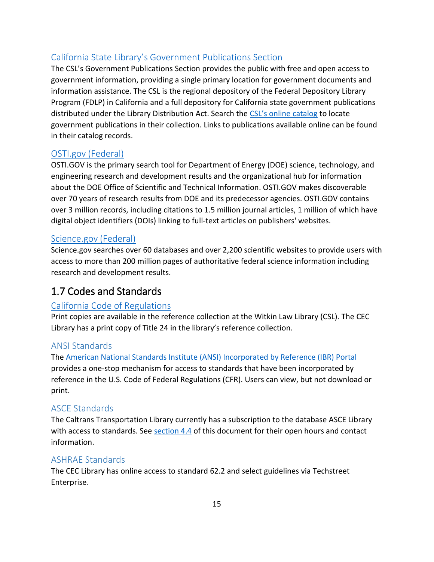# <span id="page-14-0"></span>[California State Library's Government Publications Section](https://library.ca.gov/government-publications/)

The CSL's Government Publications Section provides the public with free and open access to government information, providing a single primary location for government documents and information assistance. The CSL is the regional depository of the Federal Depository Library Program (FDLP) in California and a full depository for California state government publications distributed under the Library Distribution Act. Search the [CSL's online catalog](http://catalog.library.ca.gov/) to locate government publications in their collection. Links to publications available online can be found in their catalog records.

# <span id="page-14-1"></span>[OSTI.gov \(Federal\)](http://www.osti.gov/)

OSTI.GOV is the primary search tool for Department of Energy (DOE) science, technology, and engineering research and development results and the organizational hub for information about the DOE Office of Scientific and Technical Information. OSTI.GOV makes discoverable over 70 years of research results from DOE and its predecessor agencies. OSTI.GOV contains over 3 million records, including citations to 1.5 million journal articles, 1 million of which have digital object identifiers (DOIs) linking to full-text articles on publishers' websites.

# <span id="page-14-2"></span>[Science.gov \(Federal\)](https://www.science.gov/)

Science.gov searches over 60 databases and over 2,200 scientific websites to provide users with access to more than 200 million pages of authoritative federal science information including research and development results.

# <span id="page-14-3"></span>1.7 Codes and Standards

# <span id="page-14-4"></span>[California Code of Regulations](https://govt.westlaw.com/calregs/Index?transitionType=Default&contextData=%28sc.Default%29)

Print copies are available in the reference collection at the Witkin Law Library (CSL). The CEC Library has a print copy of Title 24 in the library's reference collection.

# <span id="page-14-5"></span>ANSI Standards

The [American National Standards Institute \(ANSI\) Incorporated by Reference \(IBR\) Portal](https://ibr.ansi.org/Default.aspx) provides a one-stop mechanism for access to standards that have been incorporated by reference in the U.S. Code of Federal Regulations (CFR). Users can view, but not download or print.

#### <span id="page-14-6"></span>ASCE Standards

The Caltrans Transportation Library currently has a subscription to the database ASCE Library with access to standards. See [section 4.4](#page-23-2) of this document for their open hours and contact information.

#### <span id="page-14-7"></span>ASHRAE Standards

The CEC Library has online access to standard 62.2 and select guidelines via Techstreet Enterprise.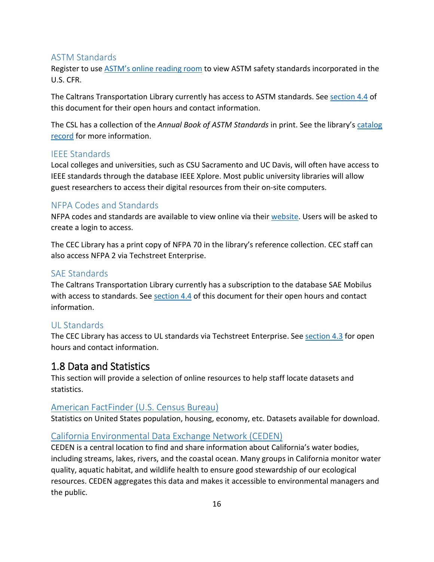#### <span id="page-15-0"></span>ASTM Standards

Register to use [ASTM's online reading room](https://www.astm.org/READINGLIBRARY/) to view ASTM safety standards incorporated in the U.S. CFR.

The Caltrans Transportation Library currently has access to ASTM standards. See [section 4.4](#page-23-2) of this document for their open hours and contact information.

The CSL has a collection of the *Annual Book of ASTM Standards* in print. See the library's [catalog](https://csl.primo.exlibrisgroup.com/permalink/01CSL_INST/j71s5a/alma990001440800205115)  [record](https://csl.primo.exlibrisgroup.com/permalink/01CSL_INST/j71s5a/alma990001440800205115) for more information.

#### <span id="page-15-1"></span>IEEE Standards

Local colleges and universities, such as CSU Sacramento and UC Davis, will often have access to IEEE standards through the database IEEE Xplore. Most public university libraries will allow guest researchers to access their digital resources from their on-site computers.

# <span id="page-15-2"></span>NFPA Codes and Standards

NFPA codes and standards are available to view online via thei[r website.](https://www.nfpa.org/Codes-and-Standards/All-Codes-and-Standards/Free-access) Users will be asked to create a login to access.

The CEC Library has a print copy of NFPA 70 in the library's reference collection. CEC staff can also access NFPA 2 via Techstreet Enterprise.

# <span id="page-15-3"></span>SAE Standards

The Caltrans Transportation Library currently has a subscription to the database SAE Mobilus with access to standards. See [section 4.4](#page-23-2) of this document for their open hours and contact information.

# <span id="page-15-4"></span>UL Standards

The CEC Library has access to UL standards via Techstreet Enterprise. See [section 4.3](#page-22-2) for open hours and contact information.

# <span id="page-15-5"></span>1.8 Data and Statistics

This section will provide a selection of online resources to help staff locate datasets and statistics.

# <span id="page-15-6"></span>[American FactFinder \(U.S. Census Bureau\)](https://factfinder.census.gov/faces/nav/jsf/pages/index.xhtml)

Statistics on United States population, housing, economy, etc. Datasets available for download.

# <span id="page-15-7"></span>[California Environmental Data Exchange Network \(CEDEN\)](http://ceden.org/)

CEDEN is a central location to find and share information about California's water bodies, including streams, lakes, rivers, and the coastal ocean. Many groups in California monitor water quality, aquatic habitat, and wildlife health to ensure good stewardship of our ecological resources. CEDEN aggregates this data and makes it accessible to environmental managers and the public.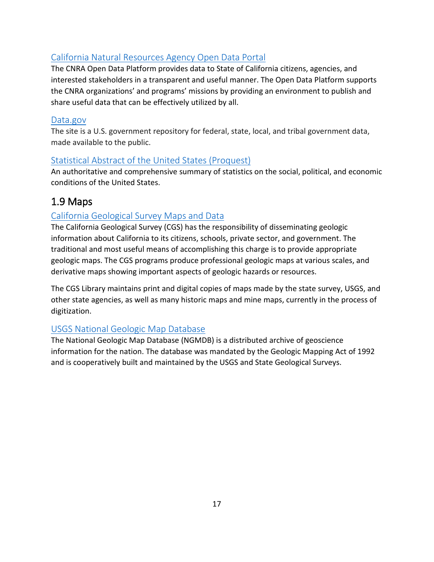# <span id="page-16-0"></span>[California Natural Resources Agency Open Data Portal](https://data.cnra.ca.gov/)

The CNRA Open Data Platform provides data to State of California citizens, agencies, and interested stakeholders in a transparent and useful manner. The Open Data Platform supports the CNRA organizations' and programs' missions by providing an environment to publish and share useful data that can be effectively utilized by all.

#### <span id="page-16-1"></span>[Data.gov](https://www.data.gov/)

The site is a U.S. government repository for federal, state, local, and tribal government data, made available to the public.

# <span id="page-16-2"></span>[Statistical Abstract of the United States \(Proquest\)](http://proxy.library.ca.gov/login?url=https://statabs.proquest.com/sa/index.html)

An authoritative and comprehensive summary of statistics on the social, political, and economic conditions of the United States.

# <span id="page-16-3"></span>1.9 Maps

# <span id="page-16-4"></span>[California Geological Survey](https://www.conservation.ca.gov/cgs/maps-data) Maps and Data

The California Geological Survey (CGS) has the responsibility of disseminating geologic information about California to its citizens, schools, private sector, and government. The traditional and most useful means of accomplishing this charge is to provide appropriate geologic maps. The CGS programs produce professional geologic maps at various scales, and derivative maps showing important aspects of geologic hazards or resources.

The CGS Library maintains print and digital copies of maps made by the state survey, USGS, and other state agencies, as well as many historic maps and mine maps, currently in the process of digitization.

# <span id="page-16-5"></span>[USGS National Geologic Map Database](https://ngmdb.usgs.gov/ngmdb/ngmdb_home.html)

The National Geologic Map Database (NGMDB) is a distributed archive of geoscience information for the nation. The database was mandated by the Geologic Mapping Act of 1992 and is cooperatively built and maintained by the USGS and State Geological Surveys.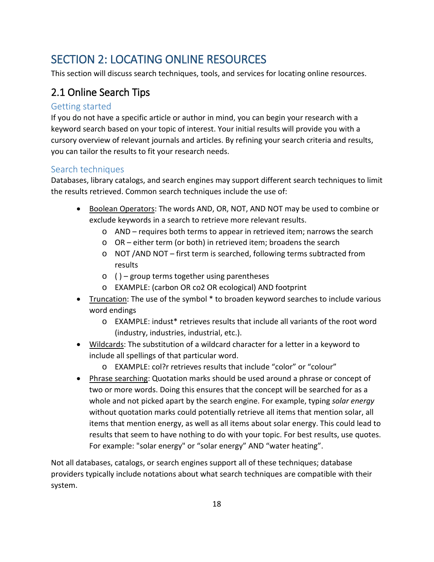# <span id="page-17-0"></span>SECTION 2: LOCATING ONLINE RESOURCES

This section will discuss search techniques, tools, and services for locating online resources.

# <span id="page-17-1"></span>2.1 Online Search Tips

#### <span id="page-17-2"></span>Getting started

If you do not have a specific article or author in mind, you can begin your research with a keyword search based on your topic of interest. Your initial results will provide you with a cursory overview of relevant journals and articles. By refining your search criteria and results, you can tailor the results to fit your research needs.

# <span id="page-17-3"></span>Search techniques

Databases, library catalogs, and search engines may support different search techniques to limit the results retrieved. Common search techniques include the use of:

- Boolean Operators: The words AND, OR, NOT, AND NOT may be used to combine or exclude keywords in a search to retrieve more relevant results.
	- o AND requires both terms to appear in retrieved item; narrows the search
	- o OR either term (or both) in retrieved item; broadens the search
	- o NOT /AND NOT first term is searched, following terms subtracted from results
	- $\circ$  () group terms together using parentheses
	- o EXAMPLE: (carbon OR co2 OR ecological) AND footprint
- Truncation: The use of the symbol \* to broaden keyword searches to include various word endings
	- o EXAMPLE: indust\* retrieves results that include all variants of the root word (industry, industries, industrial, etc.).
- Wildcards: The substitution of a wildcard character for a letter in a keyword to include all spellings of that particular word.
	- o EXAMPLE: col?r retrieves results that include "color" or "colour"
- Phrase searching: Quotation marks should be used around a phrase or concept of two or more words. Doing this ensures that the concept will be searched for as a whole and not picked apart by the search engine. For example, typing *solar energy* without quotation marks could potentially retrieve all items that mention solar, all items that mention energy, as well as all items about solar energy. This could lead to results that seem to have nothing to do with your topic. For best results, use quotes. For example: "solar energy" or "solar energy" AND "water heating".

Not all databases, catalogs, or search engines support all of these techniques; database providers typically include notations about what search techniques are compatible with their system.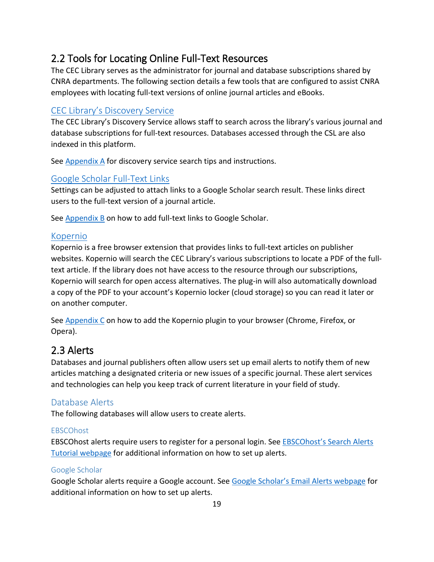# <span id="page-18-0"></span>2.2 Tools for Locating Online Full-Text Resources

The CEC Library serves as the administrator for journal and database subscriptions shared by CNRA departments. The following section details a few tools that are configured to assist CNRA employees with locating full-text versions of online journal articles and eBooks.

# <span id="page-18-1"></span>CEC [Library's Discovery Service](https://californiaenergycommissionlibrary.on.worldcat.org/)

The CEC Library's Discovery Service allows staff to search across the library's various journal and database subscriptions for full-text resources. Databases accessed through the CSL are also indexed in this platform.

See [Appendix A](#page-25-0) for discovery service search tips and instructions.

## <span id="page-18-2"></span>[Google Scholar Full-Text Links](https://scholar.google.com/)

Settings can be adjusted to attach links to a Google Scholar search result. These links direct users to the full-text version of a journal article.

See [Appendix B](#page-26-0) on how to add full-text links to Google Scholar.

## <span id="page-18-3"></span>[Kopernio](https://kopernio.com/)

Kopernio is a free browser extension that provides links to full-text articles on publisher websites. Kopernio will search the CEC Library's various subscriptions to locate a PDF of the fulltext article. If the library does not have access to the resource through our subscriptions, Kopernio will search for open access alternatives. The plug-in will also automatically download a copy of the PDF to your account's Kopernio locker (cloud storage) so you can read it later or on another computer.

See [Appendix C](#page-29-0) on how to add the Kopernio plugin to your browser (Chrome, Firefox, or Opera).

# <span id="page-18-4"></span>2.3 Alerts

Databases and journal publishers often allow users set up email alerts to notify them of new articles matching a designated criteria or new issues of a specific journal. These alert services and technologies can help you keep track of current literature in your field of study.

#### <span id="page-18-5"></span>Database Alerts

The following databases will allow users to create alerts.

#### **EBSCOhost**

EBSCOhost alerts require users to register for a personal login. See [EBSCOhost's Search Alerts](https://connect.ebsco.com/s/article/Creating-a-Search-Alert-in-EBSCOhost-Tutorial?language=en_US)  [Tutorial webpage](https://connect.ebsco.com/s/article/Creating-a-Search-Alert-in-EBSCOhost-Tutorial?language=en_US) for additional information on how to set up alerts.

#### Google Scholar

Google Scholar alerts require a Google account. See [Google Scholar's Email Alerts webpage](https://scholar.google.com/intl/en/scholar/help.html#alerts) for additional information on how to set up alerts.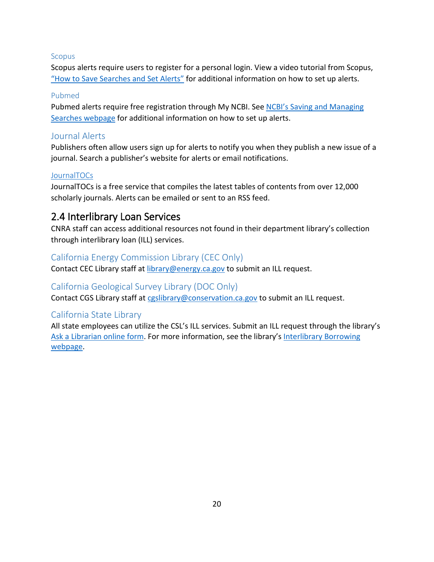#### Scopus

Scopus alerts require users to register for a personal login. View a video tutorial from Scopus, ["How to Save Searches and Set Alerts"](https://youtu.be/AxlEP7ow0B8) for additional information on how to set up alerts.

#### Pubmed

Pubmed alerts require free registration through My NCBI. See [NCBI's Saving and Managing](https://www.ncbi.nlm.nih.gov/books/NBK53592/)  [Searches webpage](https://www.ncbi.nlm.nih.gov/books/NBK53592/) for additional information on how to set up alerts.

#### <span id="page-19-0"></span>Journal Alerts

Publishers often allow users sign up for alerts to notify you when they publish a new issue of a journal. Search a publisher's website for alerts or email notifications.

#### **[JournalTOCs](http://www.journaltocs.hw.ac.uk/)**

JournalTOCs is a free service that compiles the latest tables of contents from over 12,000 scholarly journals. Alerts can be emailed or sent to an RSS feed.

# <span id="page-19-1"></span>2.4 Interlibrary Loan Services

CNRA staff can access additional resources not found in their department library's collection through interlibrary loan (ILL) services.

#### <span id="page-19-2"></span>California Energy Commission Library (CEC Only)

Contact CEC Library staff at [library@energy.ca.gov](mailto:library@energy.ca.gov) to submit an ILL request.

#### <span id="page-19-3"></span>California Geological Survey Library (DOC Only)

Contact CGS Library staff at [cgslibrary@conservation.ca.gov](mailto:cgslibrary@conservation.ca.gov) to submit an ILL request.

#### <span id="page-19-4"></span>California State Library

All state employees can utilize the CSL's ILL services. Submit an ILL request through the library's [Ask a Librarian online form.](https://askstatelibrary.libraryresearch.info/reft100.aspx?key=Ref) For more information, see the library's [Interlibrary Borrowing](https://www.library.ca.gov/services/interlibrary-lending/)  [webpage.](https://www.library.ca.gov/services/interlibrary-lending/)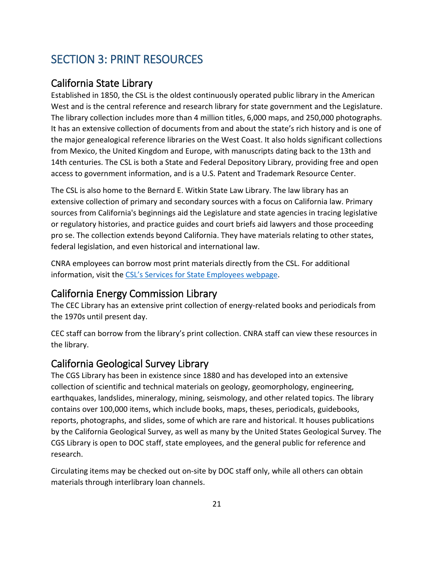# <span id="page-20-0"></span>SECTION 3: PRINT RESOURCES

# <span id="page-20-1"></span>California State Library

Established in 1850, the CSL is the oldest continuously operated public library in the American West and is the central reference and research library for state government and the Legislature. The library collection includes more than 4 million titles, 6,000 maps, and 250,000 photographs. It has an extensive collection of documents from and about the state's rich history and is one of the major genealogical reference libraries on the West Coast. It also holds significant collections from Mexico, the United Kingdom and Europe, with manuscripts dating back to the 13th and 14th centuries. The CSL is both a State and Federal Depository Library, providing free and open access to government information, and is a U.S. Patent and Trademark Resource Center.

The CSL is also home to the Bernard E. Witkin State Law Library. The law library has an extensive collection of primary and secondary sources with a focus on California law. Primary sources from California's beginnings aid the Legislature and state agencies in tracing legislative or regulatory histories, and practice guides and court briefs aid lawyers and those proceeding pro se. The collection extends beyond California. They have materials relating to other states, federal legislation, and even historical and international law.

CNRA employees can borrow most print materials directly from the CSL. For additional information, visit the [CSL's Services for State Employees webpage.](https://library.ca.gov/services/to-state-employees/)

# <span id="page-20-2"></span>California Energy Commission Library

The CEC Library has an extensive print collection of energy-related books and periodicals from the 1970s until present day.

CEC staff can borrow from the library's print collection. CNRA staff can view these resources in the library.

# <span id="page-20-3"></span>California Geological Survey Library

The CGS Library has been in existence since 1880 and has developed into an extensive collection of scientific and technical materials on geology, geomorphology, engineering, earthquakes, landslides, mineralogy, mining, seismology, and other related topics. The library contains over 100,000 items, which include books, maps, theses, periodicals, guidebooks, reports, photographs, and slides, some of which are rare and historical. It houses publications by the California Geological Survey, as well as many by the United States Geological Survey. The CGS Library is open to DOC staff, state employees, and the general public for reference and research.

Circulating items may be checked out on-site by DOC staff only, while all others can obtain materials through interlibrary loan channels.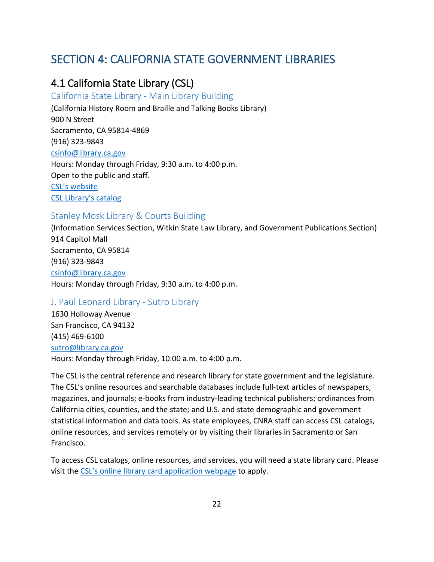# <span id="page-21-0"></span>SECTION 4: CALIFORNIA STATE GOVERNMENT LIBRARIES

# <span id="page-21-1"></span>4.1 California State Library (CSL)

#### <span id="page-21-2"></span>California State Library - Main Library Building

(California History Room and Braille and Talking Books Library) 900 N Street Sacramento, CA 95814-4869 (916) 323-9843 [csinfo@library.ca.gov](mailto:csinfo@library.ca.gov) Hours: Monday through Friday, 9:30 a.m. to 4:00 p.m. Open to the public and staff. [CSL's website](https://library.ca.gov/) [CSL Library's catalog](http://catalog.library.ca.gov/)

#### <span id="page-21-3"></span>Stanley Mosk Library & Courts Building

(Information Services Section, Witkin State Law Library, and Government Publications Section) 914 Capitol Mall Sacramento, CA 95814 (916) 323-9843 [csinfo@library.ca.gov](mailto:csinfo@library.ca.gov) Hours: Monday through Friday, 9:30 a.m. to 4:00 p.m.

#### <span id="page-21-4"></span>J. Paul Leonard Library - Sutro Library

1630 Holloway Avenue San Francisco, CA 94132 (415) 469-6100 [sutro@library.ca.gov](mailto:sutro@library.ca.gov) Hours: Monday through Friday, 10:00 a.m. to 4:00 p.m.

The CSL is the central reference and research library for state government and the legislature. The CSL's online resources and searchable databases include full-text articles of newspapers, magazines, and journals; e-books from industry-leading technical publishers; ordinances from California cities, counties, and the state; and U.S. and state demographic and government statistical information and data tools. As state employees, CNRA staff can access CSL catalogs, online resources, and services remotely or by visiting their libraries in Sacramento or San Francisco.

To access CSL catalogs, online resources, and services, you will need a state library card. Please visit the [CSL's online library card application webpage](https://www.library.ca.gov/apply/) to apply.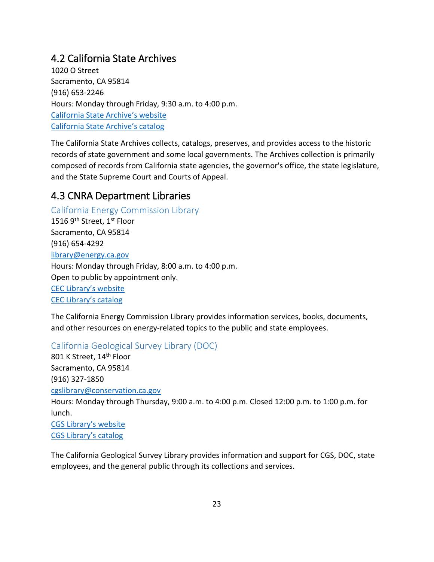# <span id="page-22-0"></span>4.2 California State Archives

1020 O Street Sacramento, CA 95814 (916) 653-2246 Hours: Monday through Friday, 9:30 a.m. to 4:00 p.m. [California State Archive's website](https://www.sos.ca.gov/archives/) [California State Archive's catalog](https://www.sos.ca.gov/archives/collections/minerva/)

The California State Archives collects, catalogs, preserves, and provides access to the historic records of state government and some local governments. The Archives collection is primarily composed of records from California state agencies, the governor's office, the state legislature, and the State Supreme Court and Courts of Appeal.

# <span id="page-22-1"></span>4.3 CNRA Department Libraries

<span id="page-22-2"></span>California Energy Commission Library 1516 9<sup>th</sup> Street, 1<sup>st</sup> Floor Sacramento, CA 95814 (916) 654-4292 [library@energy.ca.gov](mailto:library@energy.ca.gov) Hours: Monday through Friday, 8:00 a.m. to 4:00 p.m. Open to public by appointment only. [CEC Library's website](https://www.energy.ca.gov/resources/library) [CEC Library's catalog](https://californiaenergycommissionlibrary.on.worldcat.org/)

The California Energy Commission Library provides information services, books, documents, and other resources on energy-related topics to the public and state employees.

<span id="page-22-3"></span>California Geological Survey Library (DOC)

801 K Street, 14<sup>th</sup> Floor Sacramento, CA 95814 (916) 327-1850 [cgslibrary@conservation.ca.gov](mailto:cgslibrary@conservation.ca.gov) Hours: Monday through Thursday, 9:00 a.m. to 4:00 p.m. Closed 12:00 p.m. to 1:00 p.m. for lunch. [CGS Library's website](https://www.conservation.ca.gov/cgs/library) [CGS Library's catalog](https://www.conservation.ca.gov/cgs/library/catalog)

The California Geological Survey Library provides information and support for CGS, DOC, state employees, and the general public through its collections and services.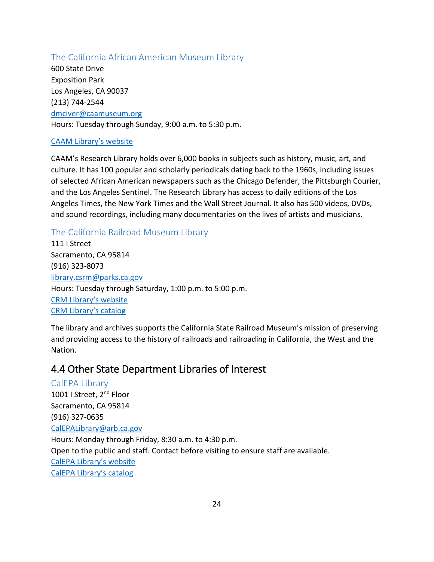#### <span id="page-23-0"></span>The California African American Museum Library

600 State Drive Exposition Park Los Angeles, CA 90037 (213) 744-2544 [dmciver@caamuseum.org](mailto:dmciver@caamuseum.org) Hours: Tuesday through Sunday, 9:00 a.m. to 5:30 p.m.

#### [CAAM Library's website](https://caamuseum.org/library)

CAAM's Research Library holds over 6,000 books in subjects such as history, music, art, and culture. It has 100 popular and scholarly periodicals dating back to the 1960s, including issues of selected African American newspapers such as the Chicago Defender, the Pittsburgh Courier, and the Los Angeles Sentinel. The Research Library has access to daily editions of the Los Angeles Times, the New York Times and the Wall Street Journal. It also has 500 videos, DVDs, and sound recordings, including many documentaries on the lives of artists and musicians.

## <span id="page-23-1"></span>The California Railroad Museum Library

111 I Street Sacramento, CA 95814 (916) 323-8073 [library.csrm@parks.ca.gov](mailto:library.csrm@parks.ca.gov) Hours: Tuesday through Saturday, 1:00 p.m. to 5:00 p.m. [CRM Library's website](https://www.californiarailroad.museum/visit/library) [CRM Library's catalog](https://csrm.andornot.com/)

The library and archives supports the California State Railroad Museum's mission of preserving and providing access to the history of railroads and railroading in California, the West and the Nation.

# <span id="page-23-2"></span>4.4 Other State Department Libraries of Interest

<span id="page-23-3"></span>CalEPA Library 1001 I Street, 2<sup>nd</sup> Floor Sacramento, CA 95814 (916) 327-0635 [CalEPALibrary@arb.ca.gov](mailto:CalEPALibrary@arb.ca.gov) Hours: Monday through Friday, 8:30 a.m. to 4:30 p.m. Open to the public and staff. Contact before visiting to ensure staff are available. [CalEPA Library's website](https://calepa.ca.gov/Library/) [CalEPA Library's catalog](https://ww3.arb.ca.gov/research/lib/libcc.php)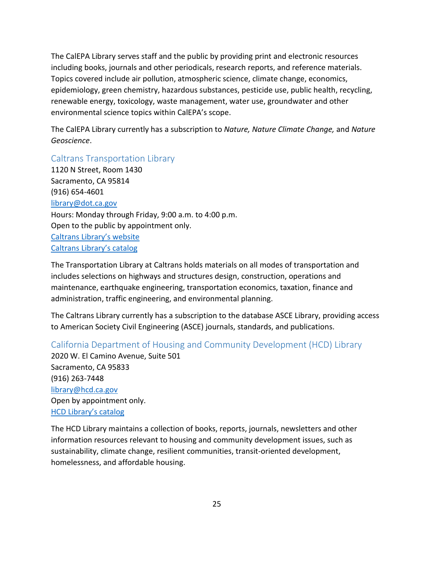The CalEPA Library serves staff and the public by providing print and electronic resources including books, journals and other periodicals, research reports, and reference materials. Topics covered include air pollution, atmospheric science, climate change, economics, epidemiology, green chemistry, hazardous substances, pesticide use, public health, recycling, renewable energy, toxicology, waste management, water use, groundwater and other environmental science topics within CalEPA's scope.

The CalEPA Library currently has a subscription to *Nature, Nature Climate Change,* and *Nature Geoscience*.

<span id="page-24-0"></span>Caltrans Transportation Library

1120 N Street, Room 1430 Sacramento, CA 95814 (916) 654-4601 [library@dot.ca.gov](mailto:library@dot.ca.gov) Hours: Monday through Friday, 9:00 a.m. to 4:00 p.m. Open to the public by appointment only. [Caltrans Library's website](https://dot.ca.gov/programs/transportation-library) [Caltrans Library's](https://caltranslibrary.on.worldcat.org/) catalog

The Transportation Library at Caltrans holds materials on all modes of transportation and includes selections on highways and structures design, construction, operations and maintenance, earthquake engineering, transportation economics, taxation, finance and administration, traffic engineering, and environmental planning.

The Caltrans Library currently has a subscription to the database ASCE Library, providing access to American Society Civil Engineering (ASCE) journals, standards, and publications.

<span id="page-24-1"></span>California Department of Housing and Community Development (HCD) Library 2020 W. El Camino Avenue, Suite 501 Sacramento, CA 95833 (916) 263-7448 [library@hcd.ca.gov](mailto:library@hcd.ca.gov) Open by appointment only. [HCD Library's](http://cybertoolsforlibraries.com/cgi-bin/CyberHTML?CALHCDHO) catalog

The HCD Library maintains a collection of books, reports, journals, newsletters and other information resources relevant to housing and community development issues, such as sustainability, climate change, resilient communities, transit-oriented development, homelessness, and affordable housing.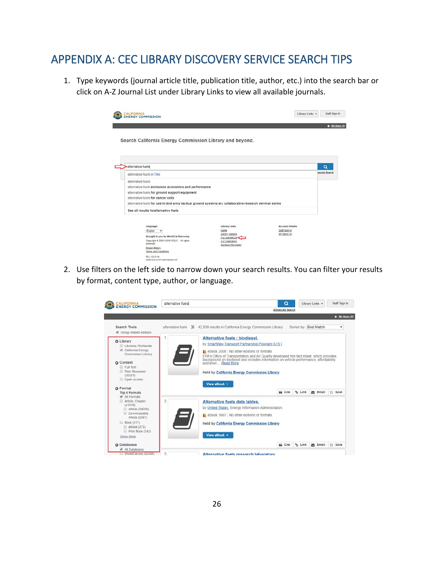# <span id="page-25-0"></span>APPENDIX A: CEC LIBRARY DISCOVERY SERVICE SEARCH TIPS

1. Type keywords (journal article title, publication title, author, etc.) into the search bar or click on A-Z Journal List under Library Links to view all available journals.

| <b>ENERGY COMMISSION</b>                                                                                |                                     | Library Links +        | $\star$ My Berns (0) |
|---------------------------------------------------------------------------------------------------------|-------------------------------------|------------------------|----------------------|
| Search California Energy Commission Library and beyond.                                                 |                                     |                        |                      |
| alternative fuels                                                                                       |                                     |                        | a                    |
| alternative fuels in Title                                                                              |                                     |                        | anced Search         |
| alternative fuels                                                                                       |                                     |                        |                      |
| alternative fuels emissions economics and performance                                                   |                                     |                        |                      |
| alternative fuels for ground support equipment                                                          |                                     |                        |                      |
| alternative fuels for cancer cells.                                                                     |                                     |                        |                      |
| alternative fuels for use in dod army tactical ground systems arc collaborative research seminar series |                                     |                        |                      |
| See all results foralternative fuels                                                                    |                                     |                        |                      |
| Language:                                                                                               | Library Links                       | <b>Account Details</b> |                      |
| English<br>$\mathbf{r}$                                                                                 | Home                                | Staff Sign In          |                      |
| Brought to you by WorldCat Discovery                                                                    | Library Catalog<br>A-Z Journal List | My Items (0)           |                      |
| Copyright @ 2001-2019 OCLC. All rights<br>reserved.                                                     | A-2 Collections                     |                        |                      |
| <b>Privacy Policy</b><br>Terms and Conditions                                                           | Contact Information                 |                        |                      |
| 88-1228 5-184<br>000f0010-07cc-44f7-addi-bfa605c01357                                                   |                                     |                        |                      |

2. Use filters on the left side to narrow down your search results. You can filter your results by format, content type, author, or language.

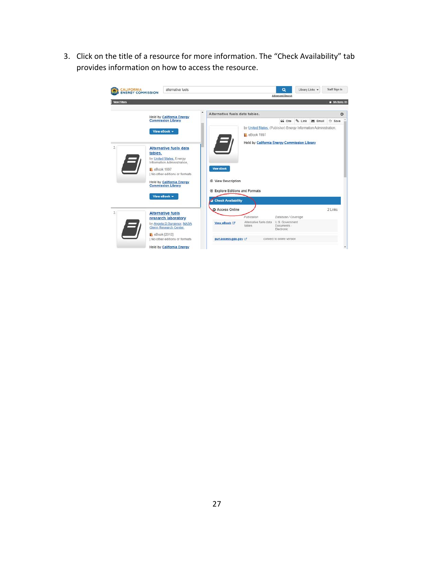3. Click on the title of a resource for more information. The "Check Availability" tab provides information on how to access the resource.

<span id="page-26-0"></span>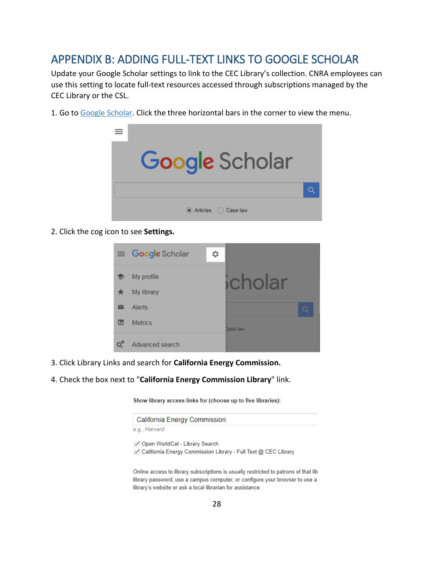# <span id="page-27-0"></span>APPENDIX B: ADDING FULL-TEXT LINKS TO GOOGLE SCHOLAR

Update your Google Scholar settings to link to the CEC Library's collection. CNRA employees can use this setting to locate full-text resources accessed through subscriptions managed by the CEC Library or the CSL.

1. Go to [Google Scholar.](http://scholar.google.com/) Click the three horizontal bars in the corner to view the menu.



2. Click the cog icon to see **Settings.**

|                    | $\equiv$ Google Scholar | ≎ |          |  |
|--------------------|-------------------------|---|----------|--|
|                    | My profile              |   | cholar   |  |
|                    | My library              |   |          |  |
| $\scriptstyle\sim$ | <b>Alerts</b>           |   |          |  |
| $\Box$             | <b>Metrics</b>          |   | Case law |  |
|                    | Advanced search         |   |          |  |

- 3. Click Library Links and search for **California Energy Commission.**
- 4. Check the box next to "**California Energy Commission Library**" link.

Show library access links for (choose up to five libraries):

| California Energy Commission                                                                                       |
|--------------------------------------------------------------------------------------------------------------------|
| e.g., Harvard                                                                                                      |
| √ Open WorldCat - Library Search<br>$\triangledown$ California Energy Commission Library - Full Text @ CEC Library |
|                                                                                                                    |

Online access to library subscriptions is usually restricted to patrons of that lib library password, use a campus computer, or configure your browser to use a library's website or ask a local librarian for assistance.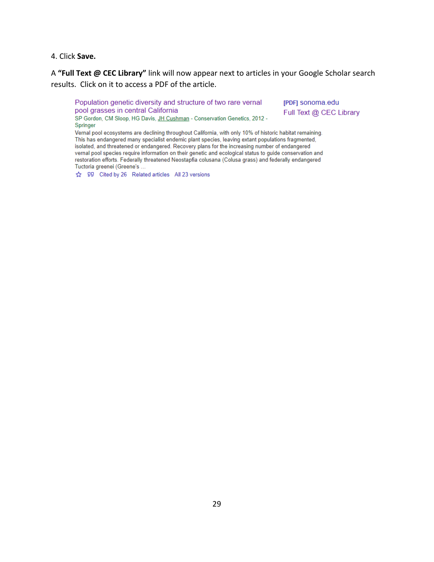#### 4. Click **Save.**

A **"Full Text @ CEC Library"** link will now appear next to articles in your Google Scholar search results. Click on it to access a PDF of the article.

Population genetic diversity and structure of two rare vernal pool grasses in central California SP Gordon, CM Sloop, HG Davis, JH Cushman - Conservation Genetics, 2012 - [PDF] sonoma.edu Full Text @ CEC Library

Springer Vernal pool ecosystems are declining throughout California, with only 10% of historic habitat remaining. This has endangered many specialist endemic plant species, leaving extant populations fragmented, isolated, and threatened or endangered. Recovery plans for the increasing number of endangered vernal pool species require information on their genetic and ecological status to guide conservation and restoration efforts. Federally threatened Neostapfia colusana (Colusa grass) and federally endangered

☆ 99 Cited by 26 Related articles All 23 versions

Tuctoria greenei (Greene's ...